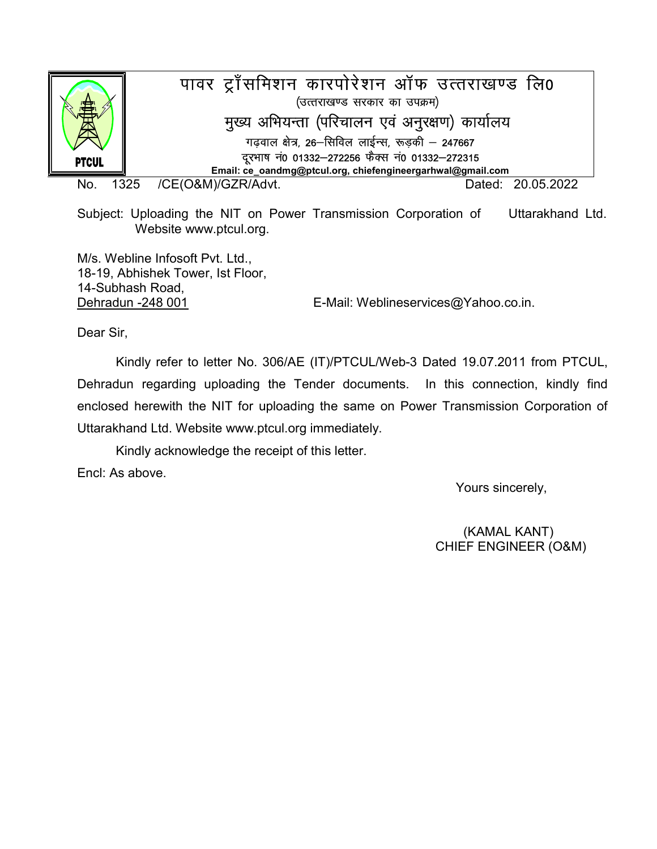

No. 1325 /CE(O&M)/GZR/Advt. Dated: 20.05.2022

Subject: Uploading the NIT on Power Transmission Corporation of Uttarakhand Ltd. Website www.ptcul.org.

M/s. Webline Infosoft Pvt. Ltd., 18-19, Abhishek Tower, Ist Floor, 14-Subhash Road,

Dehradun -248 001 E-Mail: Weblineservices@Yahoo.co.in.

Dear Sir,

 Kindly refer to letter No. 306/AE (IT)/PTCUL/Web-3 Dated 19.07.2011 from PTCUL, Dehradun regarding uploading the Tender documents. In this connection, kindly find enclosed herewith the NIT for uploading the same on Power Transmission Corporation of Uttarakhand Ltd. Website www.ptcul.org immediately.

Kindly acknowledge the receipt of this letter.

Encl: As above.

Yours sincerely,

(KAMAL KANT) CHIEF ENGINEER (O&M)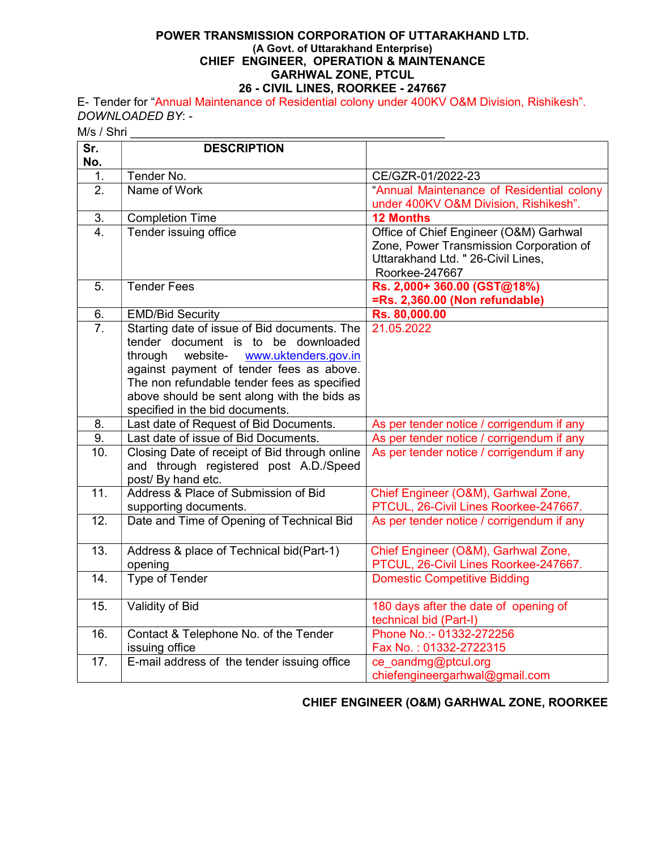#### POWER TRANSMISSION CORPORATION OF UTTARAKHAND LTD. (A Govt. of Uttarakhand Enterprise) CHIEF ENGINEER, OPERATION & MAINTENANCE GARHWAL ZONE, PTCUL 26 - CIVIL LINES, ROORKEE - 247667

E- Tender for "Annual Maintenance of Residential colony under 400KV O&M Division, Rishikesh". DOWNLOADED BY: -

M/s / Shri

| Sr.                    | <b>DESCRIPTION</b>                                                      |                                                                                    |
|------------------------|-------------------------------------------------------------------------|------------------------------------------------------------------------------------|
| No.                    |                                                                         |                                                                                    |
| 1.                     | Tender No.                                                              | CE/GZR-01/2022-23                                                                  |
| 2.                     | Name of Work                                                            | "Annual Maintenance of Residential colony<br>under 400KV O&M Division, Rishikesh". |
| 3.                     | <b>Completion Time</b>                                                  | <b>12 Months</b>                                                                   |
| $\overline{4}$ .       | Tender issuing office                                                   | Office of Chief Engineer (O&M) Garhwal                                             |
|                        |                                                                         | Zone, Power Transmission Corporation of                                            |
|                        |                                                                         | Uttarakhand Ltd. " 26-Civil Lines,                                                 |
|                        |                                                                         | Roorkee-247667                                                                     |
| 5.                     | <b>Tender Fees</b>                                                      | Rs. 2,000+360.00 (GST@18%)                                                         |
|                        |                                                                         | =Rs. 2,360.00 (Non refundable)                                                     |
| 6.<br>$\overline{7}$ . | <b>EMD/Bid Security</b><br>Starting date of issue of Bid documents. The | Rs. 80,000.00<br>21.05.2022                                                        |
|                        | tender document is to be downloaded                                     |                                                                                    |
|                        | website-<br>through<br>www.uktenders.gov.in                             |                                                                                    |
|                        | against payment of tender fees as above.                                |                                                                                    |
|                        | The non refundable tender fees as specified                             |                                                                                    |
|                        | above should be sent along with the bids as                             |                                                                                    |
|                        | specified in the bid documents.                                         |                                                                                    |
| 8.                     | Last date of Request of Bid Documents.                                  | As per tender notice / corrigendum if any                                          |
| 9.                     | Last date of issue of Bid Documents.                                    | As per tender notice / corrigendum if any                                          |
| 10.                    | Closing Date of receipt of Bid through online                           | As per tender notice / corrigendum if any                                          |
|                        | and through registered post A.D./Speed                                  |                                                                                    |
| $\overline{11}$ .      | post/ By hand etc.<br>Address & Place of Submission of Bid              |                                                                                    |
|                        | supporting documents.                                                   | Chief Engineer (O&M), Garhwal Zone,<br>PTCUL, 26-Civil Lines Roorkee-247667.       |
| $\overline{12}$ .      | Date and Time of Opening of Technical Bid                               | As per tender notice / corrigendum if any                                          |
|                        |                                                                         |                                                                                    |
| 13.                    | Address & place of Technical bid(Part-1)                                | Chief Engineer (O&M), Garhwal Zone,                                                |
|                        | opening                                                                 | PTCUL, 26-Civil Lines Roorkee-247667.                                              |
| 14.                    | Type of Tender                                                          | <b>Domestic Competitive Bidding</b>                                                |
| 15.                    | <b>Validity of Bid</b>                                                  | 180 days after the date of opening of                                              |
|                        |                                                                         | technical bid (Part-I)                                                             |
| 16.                    | Contact & Telephone No. of the Tender                                   | Phone No.:- 01332-272256                                                           |
|                        | issuing office                                                          | Fax No.: 01332-2722315                                                             |
| 17.                    | E-mail address of the tender issuing office                             | ce oandmg@ptcul.org                                                                |
|                        |                                                                         | chiefengineergarhwal@gmail.com                                                     |

# CHIEF ENGINEER (O&M) GARHWAL ZONE, ROORKEE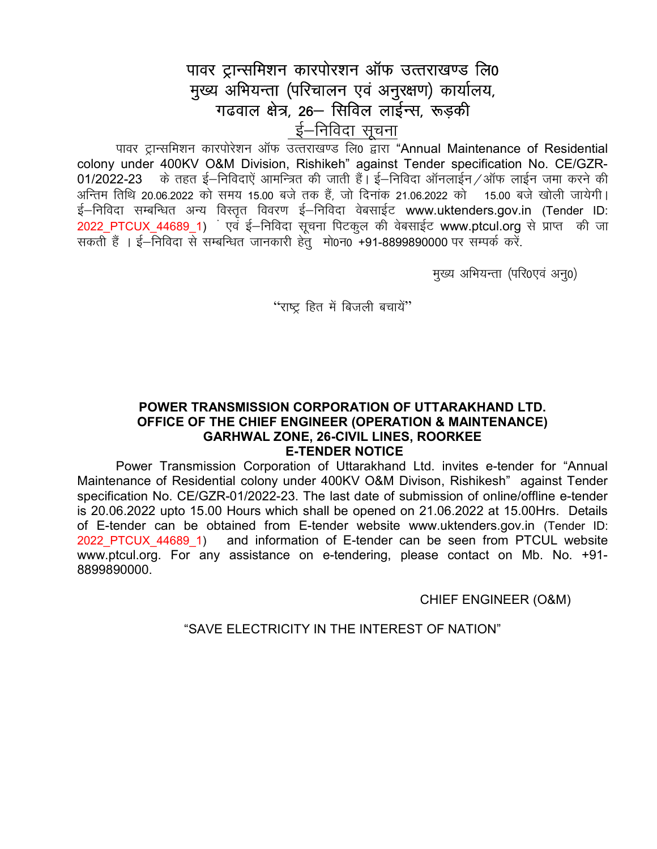# पावर ट्रान्समिशन कारपोरशन ऑफ उत्तराखण्ड लि0 मुख्य अभियन्ता (परिचालन एवं अनुरक्षण) कार्यालय, गढवाल क्षेत्र, 26- सिविल लाईन्स, रूड़की ई–निविदा सूचना

पावर टान्समिशन कारपोरेशन ऑफ उत्तराखण्ड लि0 द्वारा "Annual Maintenance of Residential colony under 400KV O&M Division, Rishikeh" against Tender specification No. CE/GZR-01/2022-23 ) के तहत ई–निविदाएं आमन्त्रित की जाती हैं। ई–निविदा ऑनलाईन ⁄ ऑफ लाईन जमा करने की अन्तिम तिथि 20.06.2022 को समय 15.00 बजे तक हैं, जो दिनांक 21.06.2022 को 45.00 बजे खोली जायेगी। ई–निविदा सम्बन्धित अन्य विस्तृत विवरण ई–निविदा वेबसाईट www.uktenders.gov.in (Tender ID: 2022 PTCUX 44689 1) एवं ई-निविदा सूचना पिटकूल की वेबसाईट www.ptcul.org से प्राप्त की जा सकती हैं । ई–निविदा से सम्बन्धित जानकारी हेतु मो0न0 +91-8899890000 पर सम्पर्क करें.

मुख्य अभियन्ता (परि0एवं अन्0)

"राष्ट्र हित में बिजली बचायें"

#### POWER TRANSMISSION CORPORATION OF UTTARAKHAND LTD. OFFICE OF THE CHIEF ENGINEER (OPERATION & MAINTENANCE) **GARHWAL ZONE, 26-CIVIL LINES, ROORKEE E-TENDER NOTICE**

Power Transmission Corporation of Uttarakhand Ltd. invites e-tender for "Annual Maintenance of Residential colony under 400KV O&M Divison, Rishikesh" against Tender specification No. CE/GZR-01/2022-23. The last date of submission of online/offline e-tender is 20.06.2022 upto 15.00 Hours which shall be opened on 21.06.2022 at 15.00Hrs. Details of E-tender can be obtained from E-tender website www.uktenders.gov.in (Tender ID: 2022 PTCUX 44689 1) and information of E-tender can be seen from PTCUL website www.ptcul.org. For any assistance on e-tendering, please contact on Mb. No. +91-8899890000

**CHIEF ENGINEER (O&M)** 

"SAVE ELECTRICITY IN THE INTEREST OF NATION"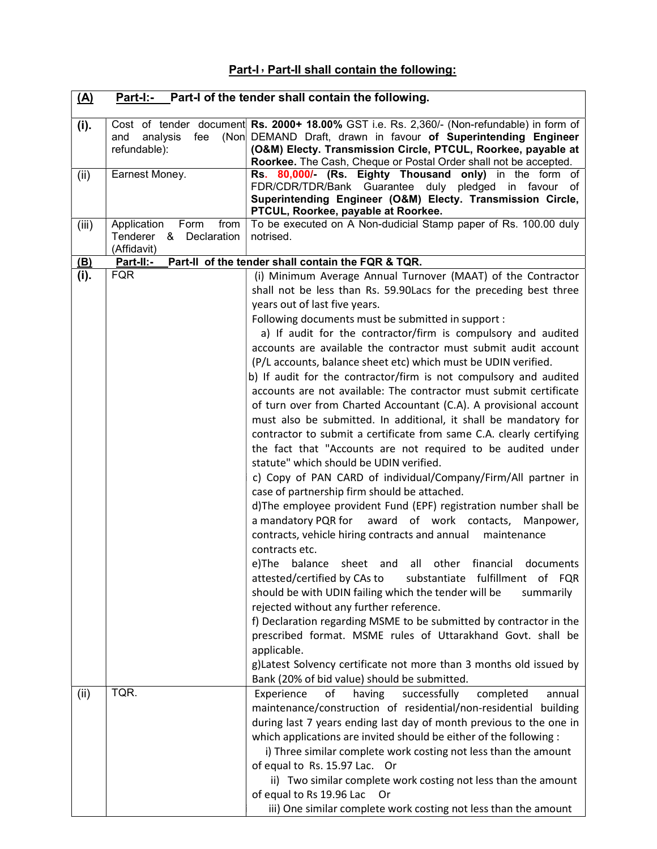# Part-I, Part-II shall contain the following:

| (A)   | Part-I:- Part-I of the tender shall contain the following. |                                                                                                                                                                                                                                                                                                                                                                                                                                                                                                                                                                                                                                                                                                                                                                                                                                                                                                                                                                                                                                                                                                                                                                                                                                                                                                                                                                                                                                                                                                                                                                                                                                                                                                                                                                          |  |
|-------|------------------------------------------------------------|--------------------------------------------------------------------------------------------------------------------------------------------------------------------------------------------------------------------------------------------------------------------------------------------------------------------------------------------------------------------------------------------------------------------------------------------------------------------------------------------------------------------------------------------------------------------------------------------------------------------------------------------------------------------------------------------------------------------------------------------------------------------------------------------------------------------------------------------------------------------------------------------------------------------------------------------------------------------------------------------------------------------------------------------------------------------------------------------------------------------------------------------------------------------------------------------------------------------------------------------------------------------------------------------------------------------------------------------------------------------------------------------------------------------------------------------------------------------------------------------------------------------------------------------------------------------------------------------------------------------------------------------------------------------------------------------------------------------------------------------------------------------------|--|
| (i).  | fee<br>and<br>analysis<br>refundable):                     | Cost of tender document Rs. 2000+ 18.00% GST i.e. Rs. 2,360/- (Non-refundable) in form of<br>(Non DEMAND Draft, drawn in favour of Superintending Engineer<br>(O&M) Electy. Transmission Circle, PTCUL, Roorkee, payable at<br>Roorkee. The Cash, Cheque or Postal Order shall not be accepted.                                                                                                                                                                                                                                                                                                                                                                                                                                                                                                                                                                                                                                                                                                                                                                                                                                                                                                                                                                                                                                                                                                                                                                                                                                                                                                                                                                                                                                                                          |  |
| (ii)  | Earnest Money.                                             | Rs. 80,000/- (Rs. Eighty Thousand<br>only) in the form of<br>FDR/CDR/TDR/Bank Guarantee duly<br>pledged in favour<br>of<br>Superintending Engineer (O&M) Electy. Transmission Circle,<br>PTCUL, Roorkee, payable at Roorkee.                                                                                                                                                                                                                                                                                                                                                                                                                                                                                                                                                                                                                                                                                                                                                                                                                                                                                                                                                                                                                                                                                                                                                                                                                                                                                                                                                                                                                                                                                                                                             |  |
| (iii) | Application Form<br>from<br>Tenderer &<br>Declaration      | To be executed on A Non-dudicial Stamp paper of Rs. 100.00 duly<br>notrised.                                                                                                                                                                                                                                                                                                                                                                                                                                                                                                                                                                                                                                                                                                                                                                                                                                                                                                                                                                                                                                                                                                                                                                                                                                                                                                                                                                                                                                                                                                                                                                                                                                                                                             |  |
| (B)   | (Affidavit)<br>Part-II:-                                   | Part-II of the tender shall contain the FQR & TQR.                                                                                                                                                                                                                                                                                                                                                                                                                                                                                                                                                                                                                                                                                                                                                                                                                                                                                                                                                                                                                                                                                                                                                                                                                                                                                                                                                                                                                                                                                                                                                                                                                                                                                                                       |  |
| (i).  | <b>FQR</b>                                                 | (i) Minimum Average Annual Turnover (MAAT) of the Contractor<br>shall not be less than Rs. 59.90Lacs for the preceding best three<br>years out of last five years.<br>Following documents must be submitted in support :<br>a) If audit for the contractor/firm is compulsory and audited<br>accounts are available the contractor must submit audit account<br>(P/L accounts, balance sheet etc) which must be UDIN verified.<br>b) If audit for the contractor/firm is not compulsory and audited<br>accounts are not available: The contractor must submit certificate<br>of turn over from Charted Accountant (C.A). A provisional account<br>must also be submitted. In additional, it shall be mandatory for<br>contractor to submit a certificate from same C.A. clearly certifying<br>the fact that "Accounts are not required to be audited under<br>statute" which should be UDIN verified.<br>c) Copy of PAN CARD of individual/Company/Firm/All partner in<br>case of partnership firm should be attached.<br>d)The employee provident Fund (EPF) registration number shall be<br>a mandatory PQR for award of work contacts,<br>Manpower,<br>contracts, vehicle hiring contracts and annual<br>maintenance<br>contracts etc.<br>e)The<br>all other financial<br>balance sheet and<br>documents<br>attested/certified by CAs to<br>substantiate fulfillment of FQR<br>should be with UDIN failing which the tender will be<br>summarily<br>rejected without any further reference.<br>f) Declaration regarding MSME to be submitted by contractor in the<br>prescribed format. MSME rules of Uttarakhand Govt. shall be<br>applicable.<br>g)Latest Solvency certificate not more than 3 months old issued by<br>Bank (20% of bid value) should be submitted. |  |
| (ii)  | TQR.                                                       | Experience<br>of<br>having<br>successfully<br>completed<br>annual<br>maintenance/construction of residential/non-residential building<br>during last 7 years ending last day of month previous to the one in<br>which applications are invited should be either of the following :<br>i) Three similar complete work costing not less than the amount<br>of equal to Rs. 15.97 Lac. Or<br>ii) Two similar complete work costing not less than the amount<br>of equal to Rs 19.96 Lac<br><b>Or</b><br>iii) One similar complete work costing not less than the amount                                                                                                                                                                                                                                                                                                                                                                                                                                                                                                                                                                                                                                                                                                                                                                                                                                                                                                                                                                                                                                                                                                                                                                                                     |  |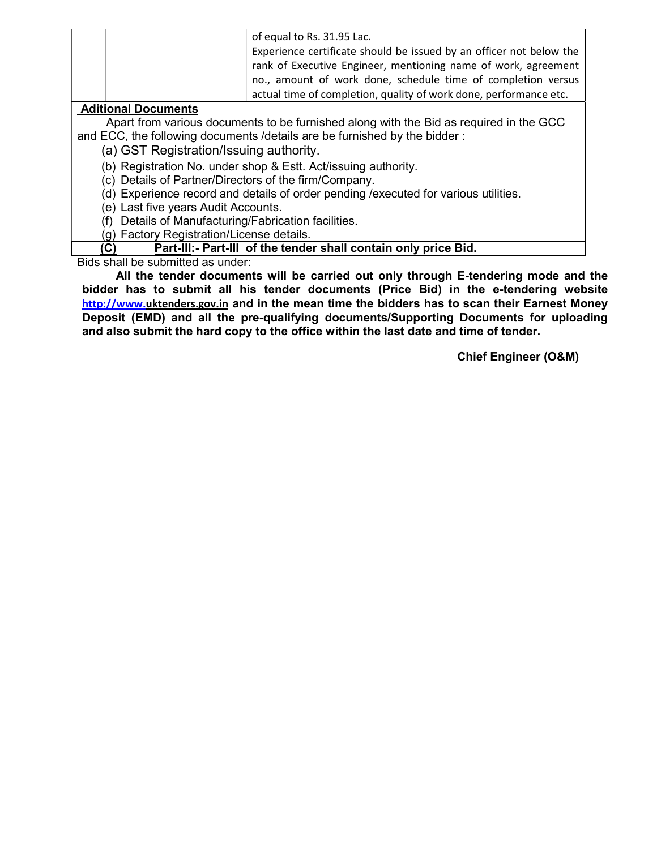|                            | of equal to Rs. 31.95 Lac.<br>Experience certificate should be issued by an officer not below the<br>rank of Executive Engineer, mentioning name of work, agreement<br>no., amount of work done, schedule time of completion versus |  |
|----------------------------|-------------------------------------------------------------------------------------------------------------------------------------------------------------------------------------------------------------------------------------|--|
|                            | actual time of completion, quality of work done, performance etc.                                                                                                                                                                   |  |
| <b>Aditional Documents</b> |                                                                                                                                                                                                                                     |  |

Apart from various documents to be furnished along with the Bid as required in the GCC and ECC, the following documents /details are be furnished by the bidder :

(a) GST Registration/Issuing authority.

(b) Registration No. under shop & Estt. Act/issuing authority.

(c) Details of Partner/Directors of the firm/Company.

(d) Experience record and details of order pending /executed for various utilities.

(e) Last five years Audit Accounts.

(f) Details of Manufacturing/Fabrication facilities.

(g) Factory Registration/License details.

(C) Part-III:- Part-III of the tender shall contain only price Bid.

Bids shall be submitted as under:

All the tender documents will be carried out only through E-tendering mode and the bidder has to submit all his tender documents (Price Bid) in the e-tendering website http://www.uktenders.gov.in and in the mean time the bidders has to scan their Earnest Money Deposit (EMD) and all the pre-qualifying documents/Supporting Documents for uploading and also submit the hard copy to the office within the last date and time of tender.

Chief Engineer (O&M)